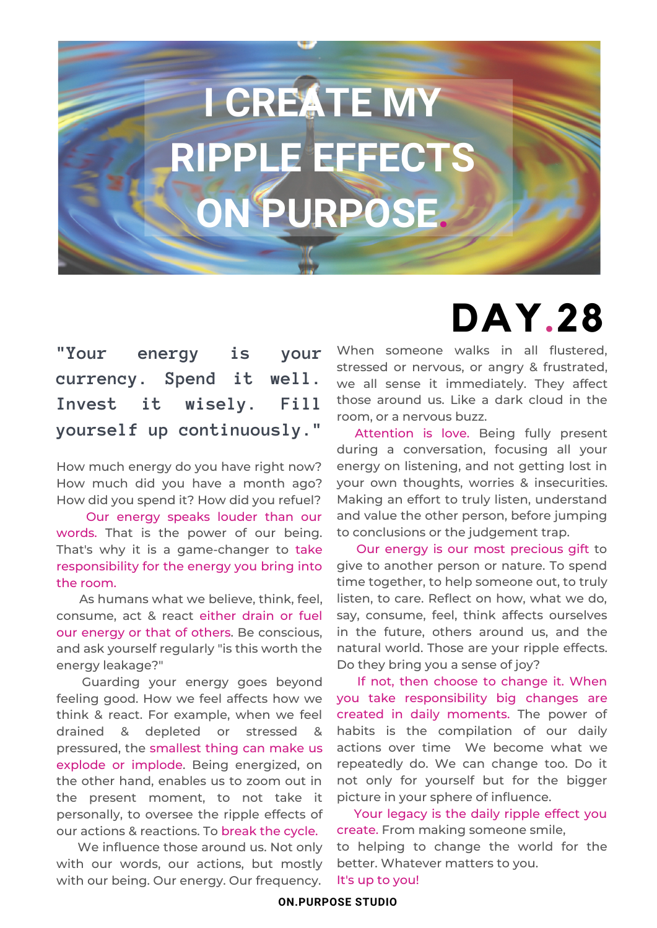# **I CREATE MY RIPPLE EFFECTS ON PURPOSE.**

#### **"Your energy is your currency. Spend it well. Invest it wisely. Fill yourself up continuously."**

How much energy do you have right now? How much did you have a month ago? How did you spend it? How did you refuel?

Our energy speaks louder than our words. That is the power of our being. That's why it is a game-changer to take responsibility for the energy you bring into the room.

As humans what we believe, think, feel, consume, act & react either drain or fuel our energy or that of others. Be conscious, and ask yourself regularly "is this worth the energy leakage?"

Guarding your energy goes beyond feeling good. How we feel affects how we think & react. For example, when we feel drained & depleted or stressed & pressured, the smallest thing can make us explode or implode. Being energized, on the other hand, enables us to zoom out in the present moment, to not take it personally, to oversee the ripple effects of our actions & reactions. To break the cycle.

We influence those around us. Not only with our words, our actions, but mostly with our being. Our energy. Our frequency.

### **DAY.28** When someone walks in all flustered.

stressed or nervous, or angry & frustrated, we all sense it immediately. They affect those around us. Like a dark cloud in the room, or a nervous buzz.

Attention is love. Being fully present during a conversation, focusing all your energy on listening, and not getting lost in your own thoughts, worries & insecurities. Making an effort to truly listen, understand and value the other person, before jumping to conclusions or the judgement trap.

Our energy is our most precious gift to give to another person or nature. To spend time together, to help someone out, to truly listen, to care. Reflect on how, what we do, say, consume, feel, think affects ourselves in the future, others around us, and the natural world. Those are your ripple effects. Do they bring you a sense of joy?

If not, then choose to change it. When you take responsibility big changes are created in daily moments. The power of habits is the compilation of our daily actions over time We become what we repeatedly do. We can change too. Do it not only for yourself but for the bigger picture in your sphere of influence.

Your legacy is the daily ripple effect you create. From making someone smile, to helping to change the world for the better. Whatever matters to you. It's up to you!

#### **ON.PURPOSE STUDIO**